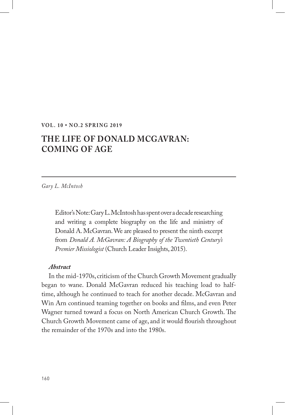#### **VOL. 10 • NO.2 SPRING 2019**

# **THE LIFE OF DONALD MCGAVRAN: COMING OF AGE**

*Gary L. McIntosh*

Editor's Note: Gary L. McIntosh has spent over a decade researching and writing a complete biography on the life and ministry of Donald A. McGavran. We are pleased to present the ninth excerpt from *Donald A. McGavran: A Biography of the Twentieth Century's Premier Missiologist* (Church Leader Insights, 2015).

#### *Abstract*

In the mid-1970s, criticism of the Church Growth Movement gradually began to wane. Donald McGavran reduced his teaching load to halftime, although he continued to teach for another decade. McGavran and Win Arn continued teaming together on books and films, and even Peter Wagner turned toward a focus on North American Church Growth. The Church Growth Movement came of age, and it would flourish throughout the remainder of the 1970s and into the 1980s.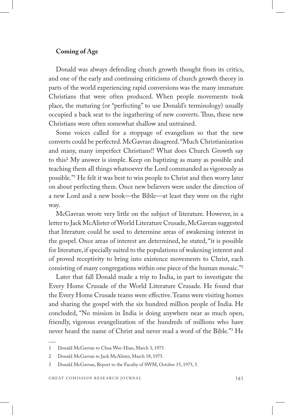## **Coming of Age**

Donald was always defending church growth thought from its critics, and one of the early and continuing criticisms of church growth theory in parts of the world experiencing rapid conversions was the many immature Christians that were often produced. When people movements took place, the maturing (or "perfecting" to use Donald's terminology) usually occupied a back seat to the ingathering of new converts. Thus, these new Christians were often somewhat shallow and untrained.

Some voices called for a stoppage of evangelism so that the new converts could be perfected. McGavran disagreed. "Much Christianization and many, many imperfect Christians!! What does Church Growth say to this? My answer is simple. Keep on baptizing as many as possible and teaching them all things whatsoever the Lord commanded as vigorously as possible."1 He felt it was best to win people to Christ and then worry later on about perfecting them. Once new believers were under the direction of a new Lord and a new book—the Bible—at least they were on the right way.

McGavran wrote very little on the subject of literature. However, in a letter to Jack McAlister of World Literature Crusade, McGavran suggested that literature could be used to determine areas of awakening interest in the gospel. Once areas of interest are determined, he stated, "it is possible for literature, if specially suited to the populations of wakening interest and of proved receptivity to bring into existence movements to Christ, each consisting of many congregations within one piece of the human mosaic."2

Later that fall Donald made a trip to India, in part to investigate the Every Home Crusade of the World Literature Crusade. He found that the Every Home Crusade teams were effective. Teams were visiting homes and sharing the gospel with the six hundred million people of India. He concluded, "No mission in India is doing anywhere near as much open, friendly, vigorous evangelization of the hundreds of millions who have never heard the name of Christ and never read a word of the Bible."3 He

<sup>1</sup> Donald McGavran to Chua Wee-Hian, March 3, 1975.

<sup>2</sup> Donald McGavran to Jack McAlister, March 18, 1975.

<sup>3</sup> Donald McGavran, Report to the Faculty of SWM, October 15, 1975, 5.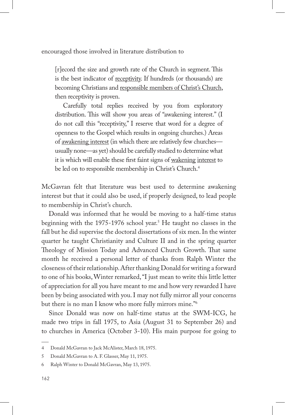encouraged those involved in literature distribution to

[r]ecord the size and growth rate of the Church in segment. This is the best indicator of receptivity. If hundreds (or thousands) are becoming Christians and responsible members of Christ's Church, then receptivity is proven.

Carefully total replies received by you from exploratory distribution. This will show you areas of "awakening interest." (I do not call this "receptivity," I reserve that word for a degree of openness to the Gospel which results in ongoing churches.) Areas of awakening interest (in which there are relatively few churches usually none—as yet) should be carefully studied to determine what it is which will enable these first faint signs of wakening interest to be led on to responsible membership in Christ's Church.<sup>4</sup>

McGavran felt that literature was best used to determine awakening interest but that it could also be used, if properly designed, to lead people to membership in Christ's church.

Donald was informed that he would be moving to a half-time status beginning with the 1975-1976 school year.<sup>5</sup> He taught no classes in the fall but he did supervise the doctoral dissertations of six men. In the winter quarter he taught Christianity and Culture II and in the spring quarter Theology of Mission Today and Advanced Church Growth. That same month he received a personal letter of thanks from Ralph Winter the closeness of their relationship. After thanking Donald for writing a forward to one of his books, Winter remarked, "I just mean to write this little letter of appreciation for all you have meant to me and how very rewarded I have been by being associated with you. I may not fully mirror all your concerns but there is no man I know who more fully mirrors mine."6

Since Donald was now on half-time status at the SWM-ICG, he made two trips in fall 1975, to Asia (August 31 to September 26) and to churches in America (October 3-10). His main purpose for going to

<sup>4</sup> Donald McGavran to Jack McAlister, March 18, 1975.

<sup>5</sup> Donald McGavran to A. F. Glasser, May 11, 1975.

<sup>6</sup> Ralph Winter to Donald McGavran, May 13, 1975.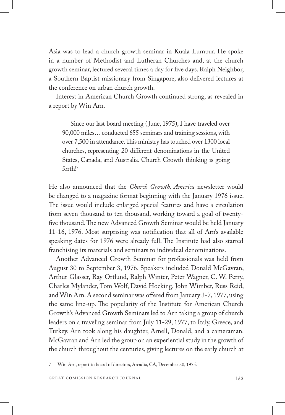Asia was to lead a church growth seminar in Kuala Lumpur. He spoke in a number of Methodist and Lutheran Churches and, at the church growth seminar, lectured several times a day for five days. Ralph Neighbor, a Southern Baptist missionary from Singapore, also delivered lectures at the conference on urban church growth.

Interest in American Church Growth continued strong, as revealed in a report by Win Arn.

Since our last board meeting (June, 1975), I have traveled over 90,000 miles… conducted 655 seminars and training sessions, with over 7,500 in attendance. This ministry has touched over 1300 local churches, representing 20 different denominations in the United States, Canada, and Australia. Church Growth thinking is going forth!7

He also announced that the *Church Growth, America* newsletter would be changed to a magazine format beginning with the January 1976 issue. The issue would include enlarged special features and have a circulation from seven thousand to ten thousand, working toward a goal of twentyfive thousand. The new Advanced Growth Seminar would be held January 11-16, 1976. Most surprising was notification that all of Arn's available speaking dates for 1976 were already full. The Institute had also started franchising its materials and seminars to individual denominations.

Another Advanced Growth Seminar for professionals was held from August 30 to September 3, 1976. Speakers included Donald McGavran, Arthur Glasser, Ray Ortlund, Ralph Winter, Peter Wagner, C. W. Perry, Charles Mylander, Tom Wolf, David Hocking, John Wimber, Russ Reid, and Win Arn. A second seminar was offered from January 3-7, 1977, using the same line-up. The popularity of the Institute for American Church Growth's Advanced Growth Seminars led to Arn taking a group of church leaders on a traveling seminar from July 11-29, 1977, to Italy, Greece, and Turkey. Arn took along his daughter, Arnell, Donald, and a cameraman. McGavran and Arn led the group on an experiential study in the growth of the church throughout the centuries, giving lectures on the early church at

7 Win Arn, report to board of directors, Arcadia, CA, December 30, 1975.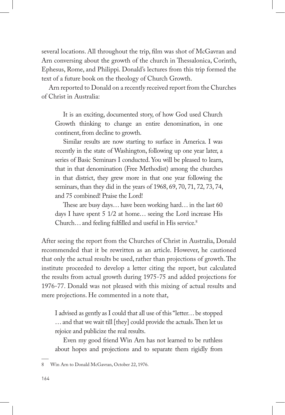several locations. All throughout the trip, film was shot of McGavran and Arn conversing about the growth of the church in Thessalonica, Corinth, Ephesus, Rome, and Philippi. Donald's lectures from this trip formed the text of a future book on the theology of Church Growth.

Arn reported to Donald on a recently received report from the Churches of Christ in Australia:

It is an exciting, documented story, of how God used Church Growth thinking to change an entire denomination, in one continent, from decline to growth.

Similar results are now starting to surface in America. I was recently in the state of Washington, following up one year later, a series of Basic Seminars I conducted. You will be pleased to learn, that in that denomination (Free Methodist) among the churches in that district, they grew more in that one year following the seminars, than they did in the years of 1968, 69, 70, 71, 72, 73, 74, and 75 combined! Praise the Lord!

These are busy days… have been working hard… in the last 60 days I have spent 5 1/2 at home… seeing the Lord increase His Church… and feeling fulfilled and useful in His service.8

After seeing the report from the Churches of Christ in Australia, Donald recommended that it be rewritten as an article. However, he cautioned that only the actual results be used, rather than projections of growth. The institute proceeded to develop a letter citing the report, but calculated the results from actual growth during 1975-75 and added projections for 1976-77. Donald was not pleased with this mixing of actual results and mere projections. He commented in a note that,

I advised as gently as I could that all use of this "letter… be stopped … and that we wait till [they] could provide the actuals. Then let us rejoice and publicize the real results.

Even my good friend Win Arn has not learned to be ruthless about hopes and projections and to separate them rigidly from

<sup>8</sup> Win Arn to Donald McGavran, October 22, 1976.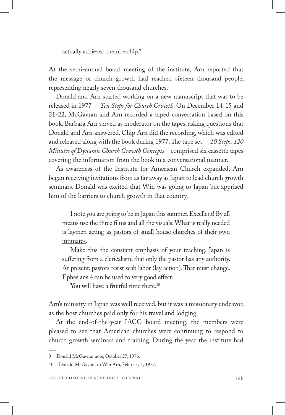actually achieved membership.9

At the semi-annual board meeting of the institute, Arn reported that the message of church growth had reached sixteen thousand people, representing nearly seven thousand churches.

Donald and Arn started working on a new manuscript that was to be released in 1977— *Ten Steps for Church Growth*. On December 14-15 and 21-22, McGavran and Arn recorded a taped conversation based on this book. Barbara Arn served as moderator on the tapes, asking questions that Donald and Arn answered. Chip Arn did the recording, which was edited and released along with the book during 1977. The tape set— *10 Steps: 120 Minutes of Dynamic Church Growth Concepts*—comprised six cassette tapes covering the information from the book in a conversational manner.

As awareness of the Institute for American Church expanded, Arn began receiving invitations from as far away as Japan to lead church growth seminars. Donald was excited that Win was going to Japan but apprised him of the barriers to church growth in that country.

I note you are going to be in Japan this summer. Excellent! By all means use the three films and all the visuals. What is really needed is laymen acting as pastors of small house churches of their own intimates.

Make this the constant emphasis of your teaching. Japan is suffering from a clericalism, that only the pastor has any authority. At present, pastors resist scab labor (lay action). That must change. Ephesians 4 can be used to very good effect.

You will have a fruitful time there.<sup>10</sup>

Arn's ministry in Japan was well received, but it was a missionary endeavor, as the host churches paid only for his travel and lodging.

At the end-of-the-year IACG board meeting, the members were pleased to see that American churches were continuing to respond to church growth seminars and training. During the year the institute had

<sup>9</sup> Donald McGavran note, October 27, 1976.

<sup>10</sup> Donald McGavran to Win Arn, February 1, 1977.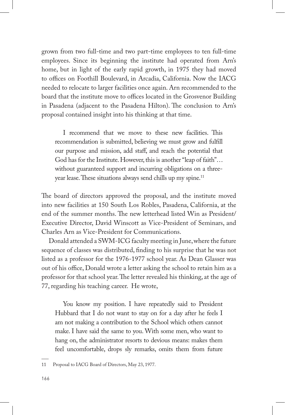grown from two full-time and two part-time employees to ten full-time employees. Since its beginning the institute had operated from Arn's home, but in light of the early rapid growth, in 1975 they had moved to offices on Foothill Boulevard, in Arcadia, California. Now the IACG needed to relocate to larger facilities once again. Arn recommended to the board that the institute move to offices located in the Grosvenor Building in Pasadena (adjacent to the Pasadena Hilton). The conclusion to Arn's proposal contained insight into his thinking at that time.

I recommend that we move to these new facilities. This recommendation is submitted, believing we must grow and fulfill our purpose and mission, add staff, and reach the potential that God has for the Institute. However, this is another "leap of faith"… without guaranteed support and incurring obligations on a threeyear lease. These situations always send chills up my spine.<sup>11</sup>

The board of directors approved the proposal, and the institute moved into new facilities at 150 South Los Robles, Pasadena, California, at the end of the summer months. The new letterhead listed Win as President/ Executive Director, David Winscott as Vice-President of Seminars, and Charles Arn as Vice-President for Communications.

Donald attended a SWM-ICG faculty meeting in June, where the future sequence of classes was distributed, finding to his surprise that he was not listed as a professor for the 1976-1977 school year. As Dean Glasser was out of his office, Donald wrote a letter asking the school to retain him as a professor for that school year. The letter revealed his thinking, at the age of 77, regarding his teaching career. He wrote,

You know my position. I have repeatedly said to President Hubbard that I do not want to stay on for a day after he feels I am not making a contribution to the School which others cannot make. I have said the same to you. With some men, who want to hang on, the administrator resorts to devious means: makes them feel uncomfortable, drops sly remarks, omits them from future

<sup>11</sup> Proposal to IACG Board of Directors, May 23, 1977.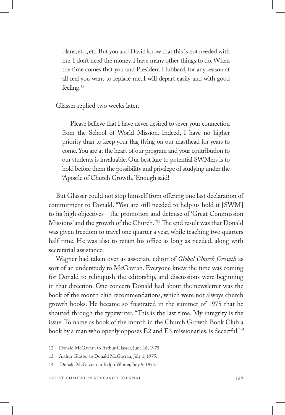plans, etc., etc. But you and David know that this is not needed with me. I don't need the money. I have many other things to do. When the time comes that you and President Hubbard, for any reason at all feel you want to replace me, I will depart easily and with good feeling.12

Glasser replied two weeks later,

Please believe that I have never desired to sever your connection from the School of World Mission. Indeed, I have no higher priority than to keep your flag flying on our masthead for years to come. You are at the heart of our program and your contribution to our students is invaluable. Our best lure to potential SWMers is to hold before them the possibility and privilege of studying under the 'Apostle of Church Growth.' Enough said!

But Glasser could not stop himself from offering one last declaration of commitment to Donald. "You are still needed to help us hold it [SWM] to its high objectives—the promotion and defense of 'Great Commission Missions' and the growth of the Church."13 The end result was that Donald was given freedom to travel one quarter a year, while teaching two quarters half time. He was also to retain his office as long as needed, along with secretarial assistance.

Wagner had taken over as associate editor of *Global Church Growth* as sort of an understudy to McGavran. Everyone knew the time was coming for Donald to relinquish the editorship, and discussions were beginning in that direction. One concern Donald had about the newsletter was the book of the month club recommendations, which were not always church growth books. He became so frustrated in the summer of 1975 that he shouted through the typewriter, "This is the last time. My integrity is the issue. To name as book of the month in the Church Growth Book Club a book by a man who openly opposes E2 and E3 missionaries, is deceitful.<sup>14</sup>

<sup>12</sup> Donald McGavran to Arthur Glasser, June 16, 1975.

<sup>13</sup> Arthur Glasser to Donald McGavran, July 1, 1975.

<sup>14</sup> Donald McGavran to Ralph Winter, July 9, 1975.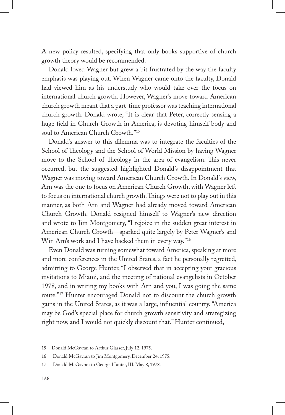A new policy resulted, specifying that only books supportive of church growth theory would be recommended.

Donald loved Wagner but grew a bit frustrated by the way the faculty emphasis was playing out. When Wagner came onto the faculty, Donald had viewed him as his understudy who would take over the focus on international church growth. However, Wagner's move toward American church growth meant that a part-time professor was teaching international church growth. Donald wrote, "It is clear that Peter, correctly sensing a huge field in Church Growth in America, is devoting himself body and soul to American Church Growth."15

Donald's answer to this dilemma was to integrate the faculties of the School of Theology and the School of World Mission by having Wagner move to the School of Theology in the area of evangelism. This never occurred, but the suggested highlighted Donald's disappointment that Wagner was moving toward American Church Growth. In Donald's view, Arn was the one to focus on American Church Growth, with Wagner left to focus on international church growth. Things were not to play out in this manner, as both Arn and Wagner had already moved toward American Church Growth. Donald resigned himself to Wagner's new direction and wrote to Jim Montgomery, "I rejoice in the sudden great interest in American Church Growth—sparked quite largely by Peter Wagner's and Win Arn's work and I have backed them in every way."16

Even Donald was turning somewhat toward America, speaking at more and more conferences in the United States, a fact he personally regretted, admitting to George Hunter, "I observed that in accepting your gracious invitations to Miami, and the meeting of national evangelists in October 1978, and in writing my books with Arn and you, I was going the same route."17 Hunter encouraged Donald not to discount the church growth gains in the United States, as it was a large, influential country. "America may be God's special place for church growth sensitivity and strategizing right now, and I would not quickly discount that." Hunter continued,

<sup>15</sup> Donald McGavran to Arthur Glasser, July 12, 1975.

<sup>16</sup> Donald McGavran to Jim Montgomery, December 24, 1975.

<sup>17</sup> Donald McGavran to George Hunter, III, May 8, 1978.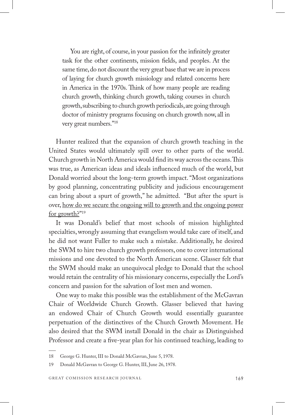You are right, of course, in your passion for the infinitely greater task for the other continents, mission fields, and peoples. At the same time, do not discount the very great base that we are in process of laying for church growth missiology and related concerns here in America in the 1970s. Think of how many people are reading church growth, thinking church growth, taking courses in church growth, subscribing to church growth periodicals, are going through doctor of ministry programs focusing on church growth now, all in very great numbers."18

Hunter realized that the expansion of church growth teaching in the United States would ultimately spill over to other parts of the world. Church growth in North America would find its way across the oceans. This was true, as American ideas and ideals influenced much of the world, but Donald worried about the long-term growth impact. "Most organizations by good planning, concentrating publicity and judicious encouragement can bring about a spurt of growth," he admitted. "But after the spurt is over, how do we secure the ongoing will to growth and the ongoing power for growth?"19

It was Donald's belief that most schools of mission highlighted specialties, wrongly assuming that evangelism would take care of itself, and he did not want Fuller to make such a mistake. Additionally, he desired the SWM to hire two church growth professors, one to cover international missions and one devoted to the North American scene. Glasser felt that the SWM should make an unequivocal pledge to Donald that the school would retain the centrality of his missionary concerns, especially the Lord's concern and passion for the salvation of lost men and women.

One way to make this possible was the establishment of the McGavran Chair of Worldwide Church Growth. Glasser believed that having an endowed Chair of Church Growth would essentially guarantee perpetuation of the distinctives of the Church Growth Movement. He also desired that the SWM install Donald in the chair as Distinguished Professor and create a five-year plan for his continued teaching, leading to

<sup>18</sup> George G. Hunter, III to Donald McGavran, June 5, 1978.

<sup>19</sup> Donald McGavran to George G. Hunter, III, June 26, 1978.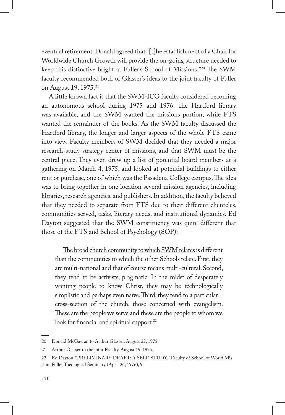eventual retirement. Donald agreed that "[t]he establishment of a Chair for Worldwide Church Growth will provide the on-going structure needed to keep this distinctive bright at Fuller's School of Missions."20 The SWM faculty recommended both of Glasser's ideas to the joint faculty of Fuller on August 19, 1975.21

A little known fact is that the SWM-ICG faculty considered becoming an autonomous school during 1975 and 1976. The Hartford library was available, and the SWM wanted the missions portion, while FTS wanted the remainder of the books. As the SWM faculty discussed the Hartford library, the longer and larger aspects of the whole FTS came into view. Faculty members of SWM decided that they needed a major research-study-strategy center of missions, and that SWM must be the central piece. They even drew up a list of potential board members at a gathering on March 4, 1975, and looked at potential buildings to either rent or purchase, one of which was the Pasadena College campus. The idea was to bring together in one location several mission agencies, including libraries, research agencies, and publishers. In addition, the faculty believed that they needed to separate from FTS due to their different clienteles, communities served, tasks, literary needs, and institutional dynamics. Ed Dayton suggested that the SWM constituency was quite different that those of the FTS and School of Psychology (SOP):

The broad church community to which SWM relates is different than the communities to which the other Schools relate. First, they are multi-national and that of course means multi-cultural. Second, they tend to be activists, pragmatic. In the midst of desperately wanting people to know Christ, they may be technologically simplistic and perhaps even naïve. Third, they tend to a particular cross-section of the church, those concerned with evangelism. These are the people we serve and these are the people to whom we look for financial and spiritual support.<sup>22</sup>

<sup>20</sup> Donald McGavran to Arthur Glasser, August 22, 1975.

<sup>21</sup> Arthur Glasser to the joint Faculty, August 19, 1975.

<sup>22</sup> Ed Dayton, "PRELIMINARY DRAFT: A SELF-STUDY," Faculty of School of World Mission, Fuller Theological Seminary (April 26, 1976), 9.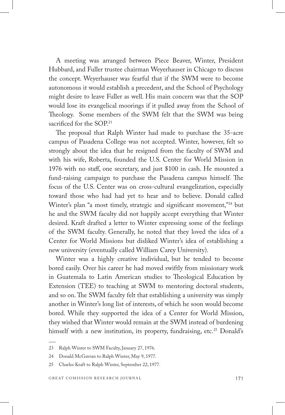A meeting was arranged between Piece Beaver, Winter, President Hubbard, and Fuller trustee chairman Weyerhauser in Chicago to discuss the concept. Weyerhauser was fearful that if the SWM were to become autonomous it would establish a precedent, and the School of Psychology might desire to leave Fuller as well. His main concern was that the SOP would lose its evangelical moorings if it pulled away from the School of Theology. Some members of the SWM felt that the SWM was being sacrificed for the SOP.<sup>23</sup>

The proposal that Ralph Winter had made to purchase the 35-acre campus of Pasadena College was not accepted. Winter, however, felt so strongly about the idea that he resigned from the faculty of SWM and with his wife, Roberta, founded the U.S. Center for World Mission in 1976 with no staff, one secretary, and just \$100 in cash. He mounted a fund-raising campaign to purchase the Pasadena campus himself. The focus of the U.S. Center was on cross-cultural evangelization, especially toward those who had had yet to hear and to believe. Donald called Winter's plan "a most timely, strategic and significant movement,"24 but he and the SWM faculty did not happily accept everything that Winter desired. Kraft drafted a letter to Winter expressing some of the feelings of the SWM faculty. Generally, he noted that they loved the idea of a Center for World Missions but disliked Winter's idea of establishing a new university (eventually called William Carey University).

Winter was a highly creative individual, but he tended to become bored easily. Over his career he had moved swiftly from missionary work in Guatemala to Latin American studies to Theological Education by Extension (TEE) to teaching at SWM to mentoring doctoral students, and so on. The SWM faculty felt that establishing a university was simply another in Winter's long list of interests, of which he soon would become bored. While they supported the idea of a Center for World Mission, they wished that Winter would remain at the SWM instead of burdening himself with a new institution, its property, fundraising, etc.<sup>25</sup> Donald's

<sup>23</sup> Ralph Winter to SWM Faculty, January 27, 1976.

<sup>24</sup> Donald McGavran to Ralph Winter, May 9, 1977.

<sup>25</sup> Charles Kraft to Ralph Winter, September 22, 1977.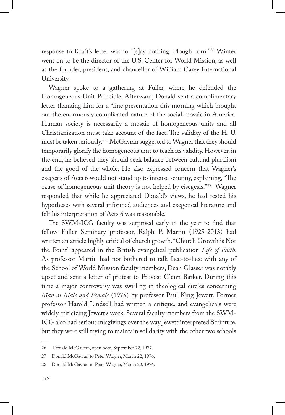response to Kraft's letter was to "[s]ay nothing. Plough corn."26 Winter went on to be the director of the U.S. Center for World Mission, as well as the founder, president, and chancellor of William Carey International University.

Wagner spoke to a gathering at Fuller, where he defended the Homogeneous Unit Principle. Afterward, Donald sent a complimentary letter thanking him for a "fine presentation this morning which brought out the enormously complicated nature of the social mosaic in America. Human society is necessarily a mosaic of homogeneous units and all Christianization must take account of the fact. The validity of the H. U. must be taken seriously."27 McGavran suggested to Wagner that they should temporarily glorify the homogeneous unit to teach its validity. However, in the end, he believed they should seek balance between cultural pluralism and the good of the whole. He also expressed concern that Wagner's exegesis of Acts 6 would not stand up to intense scrutiny, explaining, "The cause of homogeneous unit theory is not helped by eisegesis."28 Wagner responded that while he appreciated Donald's views, he had tested his hypotheses with several informed audiences and exegetical literature and felt his interpretation of Acts 6 was reasonable.

The SWM-ICG faculty was surprised early in the year to find that fellow Fuller Seminary professor, Ralph P. Martin (1925-2013) had written an article highly critical of church growth. "Church Growth is Not the Point" appeared in the British evangelical publication *Life of Faith*. As professor Martin had not bothered to talk face-to-face with any of the School of World Mission faculty members, Dean Glasser was notably upset and sent a letter of protest to Provost Glenn Barker. During this time a major controversy was swirling in theological circles concerning *Man as Male and Female* (1975) by professor Paul King Jewett. Former professor Harold Lindsell had written a critique, and evangelicals were widely criticizing Jewett's work. Several faculty members from the SWM-ICG also had serious misgivings over the way Jewett interpreted Scripture, but they were still trying to maintain solidarity with the other two schools

<sup>26</sup> Donald McGavran, open note, September 22, 1977.

<sup>27</sup> Donald McGavran to Peter Wagner, March 22, 1976.

<sup>28</sup> Donald McGavran to Peter Wagner, March 22, 1976.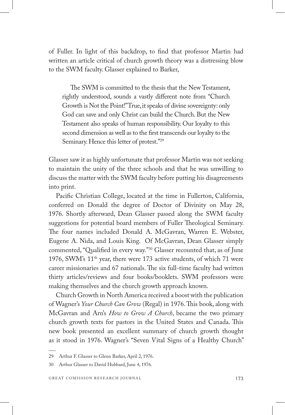of Fuller. In light of this backdrop, to find that professor Martin had written an article critical of church growth theory was a distressing blow to the SWM faculty. Glasser explained to Barker,

The SWM is committed to the thesis that the New Testament, rightly understood, sounds a vastly different note from "Church Growth is Not the Point!" True, it speaks of divine sovereignty: only God can save and only Christ can build the Church. But the New Testament also speaks of human responsibility. Our loyalty to this second dimension as well as to the first transcends our loyalty to the Seminary. Hence this letter of protest."29

Glasser saw it as highly unfortunate that professor Martin was not seeking to maintain the unity of the three schools and that he was unwilling to discuss the matter with the SWM faculty before putting his disagreements into print.

Pacific Christian College, located at the time in Fullerton, California, conferred on Donald the degree of Doctor of Divinity on May 28, 1976. Shortly afterward, Dean Glasser passed along the SWM faculty suggestions for potential board members of Fuller Theological Seminary. The four names included Donald A. McGavran, Warren E. Webster, Eugene A. Nida, and Louis King. Of McGavran, Dean Glasser simply commented, "Qualified in every way."30 Glasser recounted that, as of June 1976, SWM's 11th year, there were 173 active students, of which 71 were career missionaries and 67 nationals. The six full-time faculty had written thirty articles/reviews and four books/booklets. SWM professors were making themselves and the church growth approach known.

Church Growth in North America received a boost with the publication of Wagner's *Your Church Can Grow* (Regal) in 1976. This book, along with McGavran and Arn's *How to Grow A Church*, became the two primary church growth texts for pastors in the United States and Canada. This new book presented an excellent summary of church growth thought as it stood in 1976. Wagner's "Seven Vital Signs of a Healthy Church"

<sup>29</sup> Arthur F. Glasser to Glenn Barker, April 2, 1976.

<sup>30</sup> Arthur Glasser to David Hubbard, June 4, 1976.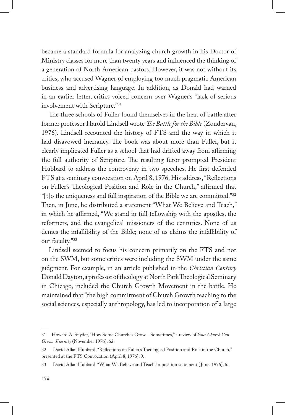became a standard formula for analyzing church growth in his Doctor of Ministry classes for more than twenty years and influenced the thinking of a generation of North American pastors. However, it was not without its critics, who accused Wagner of employing too much pragmatic American business and advertising language. In addition, as Donald had warned in an earlier letter, critics voiced concern over Wagner's "lack of serious involvement with Scripture."31

The three schools of Fuller found themselves in the heat of battle after former professor Harold Lindsell wrote *The Battle for the Bible* (Zondervan, 1976). Lindsell recounted the history of FTS and the way in which it had disavowed inerrancy. The book was about more than Fuller, but it clearly implicated Fuller as a school that had drifted away from affirming the full authority of Scripture. The resulting furor prompted President Hubbard to address the controversy in two speeches. He first defended FTS at a seminary convocation on April 8, 1976. His address, "Reflections on Fuller's Theological Position and Role in the Church," affirmed that "[t]o the uniqueness and full inspiration of the Bible we are committed."32 Then, in June, he distributed a statement "What We Believe and Teach," in which he affirmed, "We stand in full fellowship with the apostles, the reformers, and the evangelical missioners of the centuries. None of us denies the infallibility of the Bible; none of us claims the infallibility of our faculty."33

Lindsell seemed to focus his concern primarily on the FTS and not on the SWM, but some critics were including the SWM under the same judgment. For example, in an article published in the *Christian Century* Donald Dayton, a professor of theology at North Park Theological Seminary in Chicago, included the Church Growth Movement in the battle. He maintained that "the high commitment of Church Growth teaching to the social sciences, especially anthropology, has led to incorporation of a large

<sup>31</sup> Howard A. Snyder, "How Some Churches Grow—Sometimes," a review of *Your Church Can Grow*. *Eternity* (November 1976), 62.

<sup>32</sup> David Allan Hubbard, "Reflections on Fuller's Theological Position and Role in the Church," presented at the FTS Convocation (April 8, 1976), 9.

<sup>33</sup> David Allan Hubbard, "What We Believe and Teach," a position statement ( June, 1976), 6.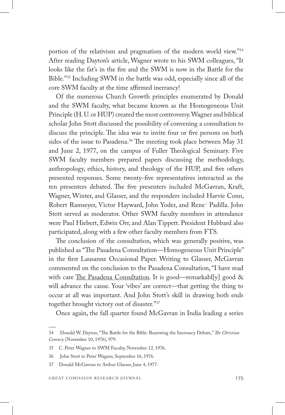portion of the relativism and pragmatism of the modern world view."34 After reading Dayton's article, Wagner wrote to his SWM colleagues, "It looks like the fat's in the fire and the SWM is now in the Battle for the Bible."35 Including SWM in the battle was odd, especially since all of the core SWM faculty at the time affirmed inerrancy!

Of the numerous Church Growth principles enumerated by Donald and the SWM faculty, what became known as the Homogeneous Unit Principle (H. U. or HUP) created the most controversy. Wagner and biblical scholar John Stott discussed the possibility of convening a consultation to discuss the principle. The idea was to invite four or five persons on both sides of the issue to Pasadena.<sup>36</sup> The meeting took place between May 31 and June 2, 1977, on the campus of Fuller Theological Seminary. Five SWM faculty members prepared papers discussing the methodology, anthropology, ethics, history, and theology of the HUP, and five others presented responses. Some twenty-five representatives interacted as the ten presenters debated. The five presenters included McGavran, Kraft, Wagner, Winter, and Glasser, and the responders included Harvie Conn, Robert Ramseyer, Victor Hayward, John Yoder, and Rene´ Padilla. John Stott served as moderator. Other SWM faculty members in attendance were Paul Hiebert, Edwin Orr, and Alan Tippett. President Hubbard also participated, along with a few other faculty members from FTS.

The conclusion of the consultation, which was generally positive, was published as "The Pasadena Consultation—Homogeneous Unit Principle" in the first Lausanne Occasional Paper. Writing to Glasser, McGavran commented on the conclusion to the Pasadena Consultation, "I have read with care The Pasadena Consultation. It is good—remarkabl[y] good  $\&$ will advance the cause. Your 'vibes' are correct—that getting the thing to occur at all was important. And John Stott's skill in drawing both ends together brought victory out of disaster."37

Once again, the fall quarter found McGavran in India leading a series

<sup>34</sup> Donald W. Dayton, "The Battle for the Bible: Renewing the Inerrancy Debate," *The Christian Century* (November 10, 1976), 979.

<sup>35</sup> C. Peter Wagner to SWM Faculty, November 12, 1976.

<sup>36</sup> John Stott to Peter Wagner, September 16, 1976.

<sup>37</sup> Donald McGavran to Arthur Glasser, June 4, 1977.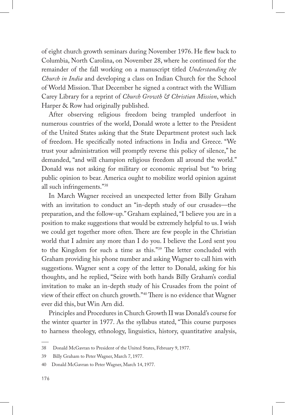of eight church growth seminars during November 1976. He flew back to Columbia, North Carolina, on November 28, where he continued for the remainder of the fall working on a manuscript titled *Understanding the Church in India* and developing a class on Indian Church for the School of World Mission. That December he signed a contract with the William Carey Library for a reprint of *Church Growth & Christian Mission*, which Harper & Row had originally published.

After observing religious freedom being trampled underfoot in numerous countries of the world, Donald wrote a letter to the President of the United States asking that the State Department protest such lack of freedom. He specifically noted infractions in India and Greece. "We trust your administration will promptly reverse this policy of silence," he demanded, "and will champion religious freedom all around the world." Donald was not asking for military or economic reprisal but "to bring public opinion to bear. America ought to mobilize world opinion against all such infringements."38

In March Wagner received an unexpected letter from Billy Graham with an invitation to conduct an "in-depth study of our crusades—the preparation, and the follow-up." Graham explained, "I believe you are in a position to make suggestions that would be extremely helpful to us. I wish we could get together more often. There are few people in the Christian world that I admire any more than I do you. I believe the Lord sent you to the Kingdom for such a time as this."39 The letter concluded with Graham providing his phone number and asking Wagner to call him with suggestions. Wagner sent a copy of the letter to Donald, asking for his thoughts, and he replied, "Seize with both hands Billy Graham's cordial invitation to make an in-depth study of his Crusades from the point of view of their effect on church growth."40 There is no evidence that Wagner ever did this, but Win Arn did.

Principles and Procedures in Church Growth II was Donald's course for the winter quarter in 1977. As the syllabus stated, "This course purposes to harness theology, ethnology, linguistics, history, quantitative analysis,

<sup>38</sup> Donald McGavran to President of the United States, February 9, 1977.

<sup>39</sup> Billy Graham to Peter Wagner, March 7, 1977.

<sup>40</sup> Donald McGavran to Peter Wagner, March 14, 1977.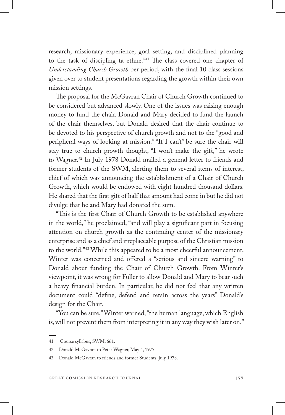research, missionary experience, goal setting, and disciplined planning to the task of discipling ta ethne."<sup>41</sup> The class covered one chapter of *Understanding Church Growth* per period, with the final 10 class sessions given over to student presentations regarding the growth within their own mission settings.

The proposal for the McGavran Chair of Church Growth continued to be considered but advanced slowly. One of the issues was raising enough money to fund the chair. Donald and Mary decided to fund the launch of the chair themselves, but Donald desired that the chair continue to be devoted to his perspective of church growth and not to the "good and peripheral ways of looking at mission." "If I can't" be sure the chair will stay true to church growth thought, "I won't make the gift," he wrote to Wagner.42 In July 1978 Donald mailed a general letter to friends and former students of the SWM, alerting them to several items of interest, chief of which was announcing the establishment of a Chair of Church Growth, which would be endowed with eight hundred thousand dollars. He shared that the first gift of half that amount had come in but he did not divulge that he and Mary had donated the sum.

"This is the first Chair of Church Growth to be established anywhere in the world," he proclaimed, "and will play a significant part in focusing attention on church growth as the continuing center of the missionary enterprise and as a chief and irreplaceable purpose of the Christian mission to the world."43 While this appeared to be a most cheerful announcement, Winter was concerned and offered a "serious and sincere warning" to Donald about funding the Chair of Church Growth. From Winter's viewpoint, it was wrong for Fuller to allow Donald and Mary to bear such a heavy financial burden. In particular, he did not feel that any written document could "define, defend and retain across the years" Donald's design for the Chair.

"You can be sure," Winter warned, "the human language, which English is, will not prevent them from interpreting it in any way they wish later on."

<sup>41</sup> Course syllabus, SWM, 661.

<sup>42</sup> Donald McGavran to Peter Wagner, May 4, 1977.

<sup>43</sup> Donald McGavran to friends and former Students, July 1978.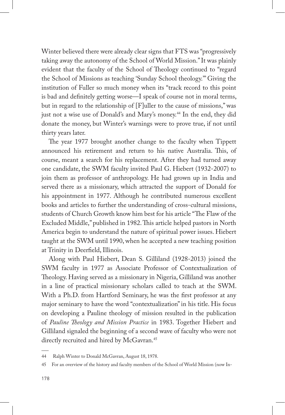Winter believed there were already clear signs that FTS was "progressively taking away the autonomy of the School of World Mission." It was plainly evident that the faculty of the School of Theology continued to "regard the School of Missions as teaching 'Sunday School theology.'" Giving the institution of Fuller so much money when its "track record to this point is bad and definitely getting worse—I speak of course not in moral terms, but in regard to the relationship of [F]uller to the cause of missions," was just not a wise use of Donald's and Mary's money.<sup>44</sup> In the end, they did donate the money, but Winter's warnings were to prove true, if not until thirty years later.

The year 1977 brought another change to the faculty when Tippett announced his retirement and return to his native Australia. This, of course, meant a search for his replacement. After they had turned away one candidate, the SWM faculty invited Paul G. Hiebert (1932-2007) to join them as professor of anthropology. He had grown up in India and served there as a missionary, which attracted the support of Donald for his appointment in 1977. Although he contributed numerous excellent books and articles to further the understanding of cross-cultural missions, students of Church Growth know him best for his article "The Flaw of the Excluded Middle," published in 1982. This article helped pastors in North America begin to understand the nature of spiritual power issues. Hiebert taught at the SWM until 1990, when he accepted a new teaching position at Trinity in Deerfield, Illinois.

Along with Paul Hiebert, Dean S. Gilliland (1928-2013) joined the SWM faculty in 1977 as Associate Professor of Contextualization of Theology. Having served as a missionary in Nigeria, Gilliland was another in a line of practical missionary scholars called to teach at the SWM. With a Ph.D. from Hartford Seminary, he was the first professor at any major seminary to have the word "contextualization" in his title. His focus on developing a Pauline theology of mission resulted in the publication of *Pauline Theology and Mission Practice* in 1983. Together Hiebert and Gilliland signaled the beginning of a second wave of faculty who were not directly recruited and hired by McGavran.<sup>45</sup>

<sup>44</sup> Ralph Winter to Donald McGavran, August 18, 1978.

<sup>45</sup> For an overview of the history and faculty members of the School of World Mission (now In-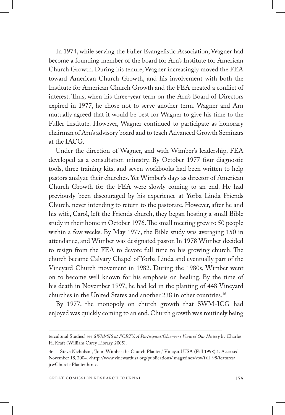In 1974, while serving the Fuller Evangelistic Association, Wagner had become a founding member of the board for Arn's Institute for American Church Growth. During his tenure, Wagner increasingly moved the FEA toward American Church Growth, and his involvement with both the Institute for American Church Growth and the FEA created a conflict of interest. Thus, when his three-year term on the Arn's Board of Directors expired in 1977, he chose not to serve another term. Wagner and Arn mutually agreed that it would be best for Wagner to give his time to the Fuller Institute. However, Wagner continued to participate as honorary chairman of Arn's advisory board and to teach Advanced Growth Seminars at the IACG.

Under the direction of Wagner, and with Wimber's leadership, FEA developed as a consultation ministry. By October 1977 four diagnostic tools, three training kits, and seven workbooks had been written to help pastors analyze their churches. Yet Wimber's days as director of American Church Growth for the FEA were slowly coming to an end. He had previously been discouraged by his experience at Yorba Linda Friends Church, never intending to return to the pastorate. However, after he and his wife, Carol, left the Friends church, they began hosting a small Bible study in their home in October 1976. The small meeting grew to 50 people within a few weeks. By May 1977, the Bible study was averaging 150 in attendance, and Wimber was designated pastor. In 1978 Wimber decided to resign from the FEA to devote full time to his growing church. The church became Calvary Chapel of Yorba Linda and eventually part of the Vineyard Church movement in 1982. During the 1980s, Wimber went on to become well known for his emphasis on healing. By the time of his death in November 1997, he had led in the planting of 448 Vineyard churches in the United States and another 238 in other countries.<sup>46</sup>

By 1977, the monopoly on church growth that SWM-ICG had enjoyed was quickly coming to an end. Church growth was routinely being

tercultural Studies) see *SWM/SIS at FORTY: A Participant/Observer's View of Our History* by Charles H. Kraft (William Carey Library, 2005).

<sup>46</sup> Steve Nicholson, "John Wimber the Church Planter," Vineyard USA (Fall 1998),1. Accessed November 18, 2004. <http://www.vinewardusa.org/publications/ magazines/vov/fall\_98/features/ jrwChurch-Planter.htm>.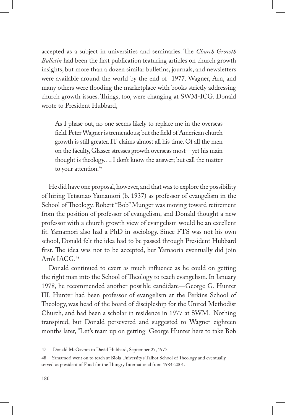accepted as a subject in universities and seminaries. The *Church Growth Bulletin* had been the first publication featuring articles on church growth insights, but more than a dozen similar bulletins, journals, and newsletters were available around the world by the end of 1977. Wagner, Arn, and many others were flooding the marketplace with books strictly addressing church growth issues. Things, too, were changing at SWM-ICG. Donald wrote to President Hubbard,

As I phase out, no one seems likely to replace me in the overseas field. Peter Wagner is tremendous; but the field of American church growth is still greater. IT claims almost all his time. Of all the men on the faculty, Glasser stresses growth overseas most—yet his main thought is theology…. I don't know the answer; but call the matter to your attention.<sup>47</sup>

He did have one proposal, however, and that was to explore the possibility of hiring Tetsunao Yamamori (b. 1937) as professor of evangelism in the School of Theology. Robert "Bob" Munger was moving toward retirement from the position of professor of evangelism, and Donald thought a new professor with a church growth view of evangelism would be an excellent fit. Yamamori also had a PhD in sociology. Since FTS was not his own school, Donald felt the idea had to be passed through President Hubbard first. The idea was not to be accepted, but Yamaoria eventually did join Arn's IACG.48

Donald continued to exert as much influence as he could on getting the right man into the School of Theology to teach evangelism. In January 1978, he recommended another possible candidate—George G. Hunter III. Hunter had been professor of evangelism at the Perkins School of Theology, was head of the board of discipleship for the United Methodist Church, and had been a scholar in residence in 1977 at SWM. Nothing transpired, but Donald persevered and suggested to Wagner eighteen months later, "Let's team up on getting George Hunter here to take Bob

<sup>47</sup> Donald McGavran to David Hubbard, September 27, 1977.

<sup>48</sup> Yamamori went on to teach at Biola University's Talbot School of Theology and eventually served as president of Food for the Hungry International from 1984-2001.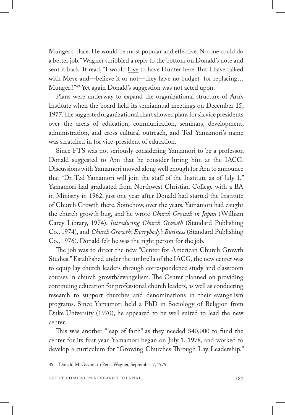Munger's place. He would be most popular and effective. No one could do a better job." Wagner scribbled a reply to the bottom on Donald's note and sent it back. It read, "I would <u>love</u> to have Hunter here. But I have talked with Meye and—believe it or not—they have no budget for replacing... Munger!!"49 Yet again Donald's suggestion was not acted upon.

Plans were underway to expand the organizational structure of Arn's Institute when the board held its semiannual meetings on December 15, 1977. The suggested organizational chart showed plans for six vice presidents over the areas of education, communication, seminars, development, administration, and cross-cultural outreach, and Ted Yamamori's name was scratched in for vice-president of education.

Since FTS was not seriously considering Yamamori to be a professor, Donald suggested to Arn that he consider hiring him at the IACG. Discussions with Yamamori moved along well enough for Arn to announce that "Dr. Ted Yamamori will join the staff of the Institute as of July 1." Yamamori had graduated from Northwest Christian College with a BA in Ministry in 1962, just one year after Donald had started the Institute of Church Growth there. Somehow, over the years, Yamamori had caught the church growth bug, and he wrote *Church Growth in Japan* (William Carey Library, 1974), *Introducing Church Growth* (Standard Publishing Co., 1974), and *Church Growth: Everybody's Business* (Standard Publishing Co., 1976). Donald felt he was the right person for the job.

The job was to direct the new "Center for American Church Growth Studies." Established under the umbrella of the IACG, the new center was to equip lay church leaders through correspondence study and classroom courses in church growth/evangelism. The Center planned on providing continuing education for professional church leaders, as well as conducting research to support churches and denominations in their evangelism programs. Since Yamamori held a PhD in Sociology of Religion from Duke University (1970), he appeared to be well suited to lead the new center.

This was another "leap of faith" as they needed \$40,000 to fund the center for its first year. Yamamori began on July 1, 1978, and worked to develop a curriculum for "Growing Churches Through Lay Leadership."

49 Donald McGavran to Peter Wagner, September 7, 1979.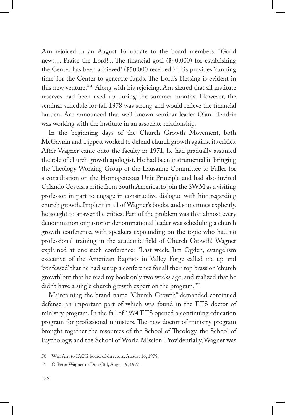Arn rejoiced in an August 16 update to the board members: "Good news… Praise the Lord!... The financial goal (\$40,000) for establishing the Center has been achieved! (\$50,000 received.) This provides 'running time' for the Center to generate funds. The Lord's blessing is evident in this new venture."50 Along with his rejoicing, Arn shared that all institute reserves had been used up during the summer months. However, the seminar schedule for fall 1978 was strong and would relieve the financial burden. Arn announced that well-known seminar leader Olan Hendrix was working with the institute in an associate relationship.

In the beginning days of the Church Growth Movement, both McGavran and Tippett worked to defend church growth against its critics. After Wagner came onto the faculty in 1971, he had gradually assumed the role of church growth apologist. He had been instrumental in bringing the Theology Working Group of the Lausanne Committee to Fuller for a consultation on the Homogeneous Unit Principle and had also invited Orlando Costas, a critic from South America, to join the SWM as a visiting professor, in part to engage in constructive dialogue with him regarding church growth. Implicit in all of Wagner's books, and sometimes explicitly, he sought to answer the critics. Part of the problem was that almost every denomination or pastor or denominational leader was scheduling a church growth conference, with speakers expounding on the topic who had no professional training in the academic field of Church Growth! Wagner explained at one such conference: "Last week, Jim Ogden, evangelism executive of the American Baptists in Valley Forge called me up and 'confessed' that he had set up a conference for all their top brass on 'church growth' but that he read my book only two weeks ago, and realized that he didn't have a single church growth expert on the program."<sup>51</sup>

Maintaining the brand name "Church Growth" demanded continued defense, an important part of which was found in the FTS doctor of ministry program. In the fall of 1974 FTS opened a continuing education program for professional ministers. The new doctor of ministry program brought together the resources of the School of Theology, the School of Psychology, and the School of World Mission. Providentially, Wagner was

<sup>50</sup> Win Arn to IACG board of directors, August 16, 1978.

<sup>51</sup> C. Peter Wagner to Don Gill, August 9, 1977.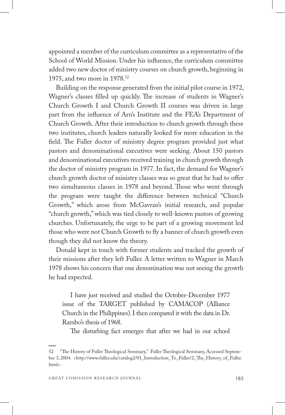appointed a member of the curriculum committee as a representative of the School of World Mission. Under his influence, the curriculum committee added two new doctor of ministry courses on church growth, beginning in 1975, and two more in 1978.52

Building on the response generated from the initial pilot course in 1972, Wagner's classes filled up quickly. The increase of students in Wagner's Church Growth I and Church Growth II courses was driven in large part from the influence of Arn's Institute and the FEA's Department of Church Growth. After their introduction to church growth through these two institutes, church leaders naturally looked for more education in the field. The Fuller doctor of ministry degree program provided just what pastors and denominational executives were seeking. About 150 pastors and denominational executives received training in church growth through the doctor of ministry program in 1977. In fact, the demand for Wagner's church growth doctor of ministry classes was so great that he had to offer two simultaneous classes in 1978 and beyond. Those who went through the program were taught the difference between technical "Church Growth," which arose from McGavran's initial research, and popular "church growth," which was tied closely to well-known pastors of growing churches. Unfortunately, the urge to be part of a growing movement led those who were not Church Growth to fly a banner of church growth even though they did not know the theory.

Donald kept in touch with former students and tracked the growth of their missions after they left Fuller. A letter written to Wagner in March 1978 shows his concern that one denomination was not seeing the growth he had expected.

I have just received and studied the October-December 1977 issue of the TARGET published by CAMACOP (Alliance Church in the Philippines). I then compared it with the data in Dr. Rambo's thesis of 1968.

The disturbing fact emerges that after we had in our school

<sup>52 &</sup>quot;The History of Fuller Theological Seminary," Fuller Theological Seminary, Accessed September 3, 2004. <http://www.fuller.edu/catalog2/01\_Introduction\_To\_Fuller/2\_The\_History\_of\_Fuller. html>.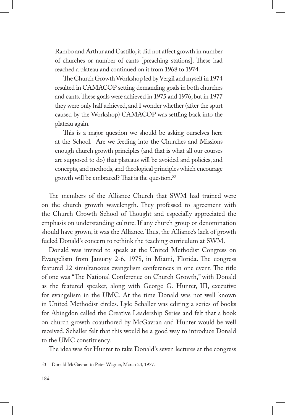Rambo and Arthur and Castillo, it did not affect growth in number of churches or number of cants [preaching stations]. These had reached a plateau and continued on it from 1968 to 1974.

The Church Growth Workshop led by Vergil and myself in 1974 resulted in CAMACOP setting demanding goals in both churches and cants. These goals were achieved in 1975 and 1976, but in 1977 they were only half achieved, and I wonder whether (after the spurt caused by the Workshop) CAMACOP was settling back into the plateau again.

This is a major question we should be asking ourselves here at the School. Are we feeding into the Churches and Missions enough church growth principles (and that is what all our courses are supposed to do) that plateaus will be avoided and policies, and concepts, and methods, and theological principles which encourage growth will be embraced? That is the question.<sup>53</sup>

The members of the Alliance Church that SWM had trained were on the church growth wavelength. They professed to agreement with the Church Growth School of Thought and especially appreciated the emphasis on understanding culture. If any church group or denomination should have grown, it was the Alliance. Thus, the Alliance's lack of growth fueled Donald's concern to rethink the teaching curriculum at SWM.

Donald was invited to speak at the United Methodist Congress on Evangelism from January 2-6, 1978, in Miami, Florida. The congress featured 22 simultaneous evangelism conferences in one event. The title of one was "The National Conference on Church Growth," with Donald as the featured speaker, along with George G. Hunter, III, executive for evangelism in the UMC. At the time Donald was not well known in United Methodist circles. Lyle Schaller was editing a series of books for Abingdon called the Creative Leadership Series and felt that a book on church growth coauthored by McGavran and Hunter would be well received. Schaller felt that this would be a good way to introduce Donald to the UMC constituency.

The idea was for Hunter to take Donald's seven lectures at the congress

<sup>53</sup> Donald McGavran to Peter Wagner, March 23, 1977.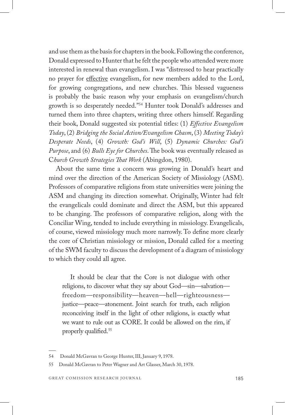and use them as the basis for chapters in the book. Following the conference, Donald expressed to Hunter that he felt the people who attended were more interested in renewal than evangelism. I was "distressed to hear practically no prayer for effective evangelism, for new members added to the Lord, for growing congregations, and new churches. This blessed vagueness is probably the basic reason why your emphasis on evangelism/church growth is so desperately needed."54 Hunter took Donald's addresses and turned them into three chapters, writing three others himself. Regarding their book, Donald suggested six potential titles: (1) *Effective Evangelism Today*, (2) *Bridging the Social Action/Evangelism Chasm*, (3) *Meeting Today's Desperate Needs*, (4) *Growth: God's Will*, (5) *Dynamic Churches: God's Purpose*, and (6) *Bulls Eye for Churches*. The book was eventually released as C*hurch Growth Strategies That Work* (Abingdon, 1980).

About the same time a concern was growing in Donald's heart and mind over the direction of the American Society of Missiology (ASM). Professors of comparative religions from state universities were joining the ASM and changing its direction somewhat. Originally, Winter had felt the evangelicals could dominate and direct the ASM, but this appeared to be changing. The professors of comparative religion, along with the Conciliar Wing, tended to include everything in missiology. Evangelicals, of course, viewed missiology much more narrowly. To define more clearly the core of Christian missiology or mission, Donald called for a meeting of the SWM faculty to discuss the development of a diagram of missiology to which they could all agree.

It should be clear that the Core is not dialogue with other religions, to discover what they say about God—sin—salvation freedom—responsibility—heaven—hell—righteousness justice—peace—atonement. Joint search for truth, each religion reconceiving itself in the light of other religions, is exactly what we want to rule out as CORE. It could be allowed on the rim, if properly qualified.55

<sup>54</sup> Donald McGavran to George Hunter, III, January 9, 1978.

<sup>55</sup> Donald McGavran to Peter Wagner and Art Glasser, March 30, 1978.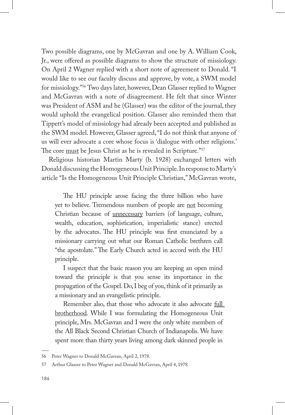Two possible diagrams, one by McGavran and one by A. William Cook, Jr., were offered as possible diagrams to show the structure of missiology. On April 2 Wagner replied with a short note of agreement to Donald. "I would like to see our faculty discuss and approve, by vote, a SWM model for missiology."56 Two days later, however, Dean Glasser replied to Wagner and McGavran with a note of disagreement. He felt that since Winter was President of ASM and he (Glasser) was the editor of the journal, they would uphold the evangelical position. Glasser also reminded them that Tippett's model of missiology had already been accepted and published as the SWM model. However, Glasser agreed, "I do not think that anyone of us will ever advocate a core whose focus is 'dialogue with other religions.' The core must be Jesus Christ as he is revealed in Scripture."<sup>57</sup>

Religious historian Martin Marty (b. 1928) exchanged letters with Donald discussing the Homogeneous Unit Principle. In response to Marty's article "Is the Homogeneous Unit Principle Christian," McGavran wrote,

The HU principle arose facing the three billion who have yet to believe. Tremendous numbers of people are not becoming Christian because of unnecessary barriers (of language, culture, wealth, education, sophistication, imperialistic stance) erected by the advocates. The HU principle was first enunciated by a missionary carrying out what our Roman Catholic brethren call "the apostolate." The Early Church acted in accord with the HU principle.

I suspect that the basic reason you are keeping an open mind toward the principle is that you sense its importance in the propagation of the Gospel. Do, I beg of you, think of it primarily as a missionary and an evangelistic principle.

Remember also, that those who advocate it also advocate full brotherhood. While I was formulating the Homogeneous Unit principle, Mrs. McGavran and I were the only white members of the All Black Second Christian Church of Indianapolis. We have spent more than thirty years living among dark skinned people in

<sup>56</sup> Peter Wagner to Donald McGavran, April 2, 1978.

<sup>57</sup> Arthur Glasser to Peter Wagner and Donald McGavran, April 4, 1978.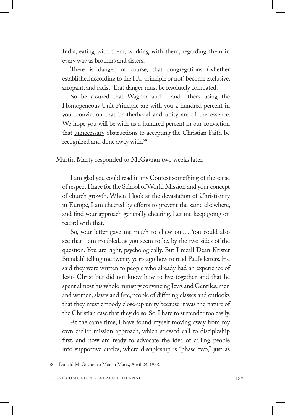India, eating with them, working with them, regarding them in every way as brothers and sisters.

There is danger, of course, that congregations (whether established according to the HU principle or not) become exclusive, arrogant, and racist. That danger must be resolutely combated.

So be assured that Wagner and I and others using the Homogeneous Unit Principle are with you a hundred percent in your conviction that brotherhood and unity are of the essence. We hope you will be with us a hundred percent in our conviction that unnecessary obstructions to accepting the Christian Faith be recognized and done away with.58

Martin Marty responded to McGavran two weeks later.

I am glad you could read in my Context something of the sense of respect I have for the School of World Mission and your concept of church growth. When I look at the devastation of Christianity in Europe, I am cheered by efforts to prevent the same elsewhere, and find your approach generally cheering. Let me keep going on record with that.

So, your letter gave me much to chew on.… You could also see that I am troubled, as you seem to be, by the two sides of the question. You are right, psychologically. But I recall Dean Krister Stendahl telling me twenty years ago how to read Paul's letters. He said they were written to people who already had an experience of Jesus Christ but did not know how to live together, and that he spent almost his whole ministry convincing Jews and Gentiles, men and women, slaves and free, people of differing classes and outlooks that they must embody close-up unity because it was the nature of the Christian case that they do so. So, I hate to surrender too easily.

At the same time, I have found myself moving away from my own earlier mission approach, which stressed call to discipleship first, and now am ready to advocate the idea of calling people into supportive circles, where discipleship is "phase two," just as

<sup>58</sup> Donald McGavran to Martin Marty, April 24, 1978.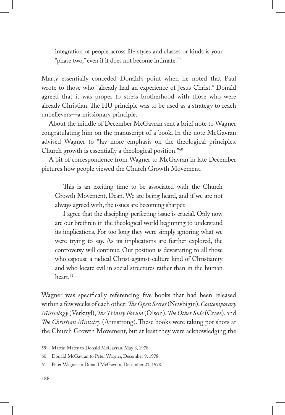integration of people across life styles and classes or kinds is your "phase two," even if it does not become intimate.<sup>59</sup>

Marty essentially conceded Donald's point when he noted that Paul wrote to those who "already had an experience of Jesus Christ." Donald agreed that it was proper to stress brotherhood with those who were already Christian. The HU principle was to be used as a strategy to reach unbelievers—a missionary principle.

About the middle of December McGavran sent a brief note to Wagner congratulating him on the manuscript of a book. In the note McGavran advised Wagner to "lay more emphasis on the theological principles. Church growth is essentially a theological position."60

A bit of correspondence from Wagner to McGavran in late December pictures how people viewed the Church Growth Movement.

This is an exciting time to be associated with the Church Growth Movement, Dean. We are being heard, and if we are not always agreed with, the issues are becoming sharper.

I agree that the discipling-perfecting issue is crucial. Only now are our brethren in the theological world beginning to understand its implications. For too long they were simply ignoring what we were trying to say. As its implications are further explored, the controversy will continue. Our position is devastating to all those who espouse a radical Christ-against-culture kind of Christianity and who locate evil in social structures rather than in the human heart.<sup>61</sup>

Wagner was specifically referencing five books that had been released within a few weeks of each other: *The Open Secret* (Newbigin), *Contemporary Missiology* (Verkuyl), *The Trinity Forum* (Olson), *The Other Side* (Crass), and *The Christian Ministry* (Armstrong). These books were taking pot shots at the Church Growth Movement, but at least they were acknowledging the

<sup>59</sup> Martin Marty to Donald McGavran, May 8, 1978.

<sup>60</sup> Donald McGavran to Peter Wagner, December 9, 1978.

<sup>61</sup> Peter Wagner to Donald McGavran, December 21, 1978.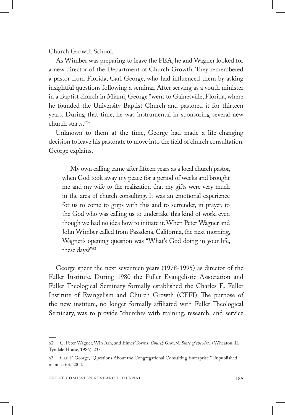Church Growth School.

As Wimber was preparing to leave the FEA, he and Wagner looked for a new director of the Department of Church Growth. They remembered a pastor from Florida, Carl George, who had influenced them by asking insightful questions following a seminar. After serving as a youth minister in a Baptist church in Miami, George "went to Gainesville, Florida, where he founded the University Baptist Church and pastored it for thirteen years. During that time, he was instrumental in sponsoring several new church starts."62

Unknown to them at the time, George had made a life-changing decision to leave his pastorate to move into the field of church consultation. George explains,

My own calling came after fifteen years as a local church pastor, when God took away my peace for a period of weeks and brought me and my wife to the realization that my gifts were very much in the area of church consulting. It was an emotional experience for us to come to grips with this and to surrender, in prayer, to the God who was calling us to undertake this kind of work, even though we had no idea how to initiate it. When Peter Wagner and John Wimber called from Pasadena, California, the next morning, Wagner's opening question was "What's God doing in your life, these days?"63

George spent the next seventeen years (1978-1995) as director of the Fuller Institute. During 1980 the Fuller Evangelistic Association and Fuller Theological Seminary formally established the Charles E. Fuller Institute of Evangelism and Church Growth (CEFI). The purpose of the new institute, no longer formally affiliated with Fuller Theological Seminary, was to provide "churches with training, research, and service

<sup>62</sup> C. Peter Wagner, Win Arn, and Elmer Towns, *Church Growth: State of the Art*. (Wheaton, IL: Tyndale House, 1986), 235.

<sup>63</sup> Carl F. George, "Questions About the Congregational Consulting Enterprise." Unpublished manuscript, 2004.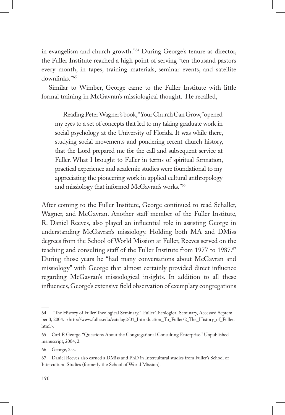in evangelism and church growth."64 During George's tenure as director, the Fuller Institute reached a high point of serving "ten thousand pastors every month, in tapes, training materials, seminar events, and satellite downlinks."65

Similar to Wimber, George came to the Fuller Institute with little formal training in McGavran's missiological thought. He recalled,

Reading Peter Wagner's book, "Your Church Can Grow," opened my eyes to a set of concepts that led to my taking graduate work in social psychology at the University of Florida. It was while there, studying social movements and pondering recent church history, that the Lord prepared me for the call and subsequent service at Fuller. What I brought to Fuller in terms of spiritual formation, practical experience and academic studies were foundational to my appreciating the pioneering work in applied cultural anthropology and missiology that informed McGavran's works."66

After coming to the Fuller Institute, George continued to read Schaller, Wagner, and McGavran. Another staff member of the Fuller Institute, R. Daniel Reeves, also played an influential role in assisting George in understanding McGavran's missiology. Holding both MA and DMiss degrees from the School of World Mission at Fuller, Reeves served on the teaching and consulting staff of the Fuller Institute from 1977 to 1987.<sup>67</sup> During those years he "had many conversations about McGavran and missiology" with George that almost certainly provided direct influence regarding McGavran's missiological insights. In addition to all these influences, George's extensive field observation of exemplary congregations

<sup>64 &</sup>quot;The History of Fuller Theological Seminary," Fuller Theological Seminary, Accessed September 3, 2004. <http://www.fuller.edu/catalog2/01\_Introduction\_To\_Fuller/2\_The\_History\_of\_Fuller. html>.

<sup>65</sup> Carl F. George, "Questions About the Congregational Consulting Enterprise," Unpublished manuscript, 2004, 2.

<sup>66</sup> George, 2-3.

<sup>67</sup> Daniel Reeves also earned a DMiss and PhD in Intercultural studies from Fuller's School of Intercultural Studies (formerly the School of World Mission).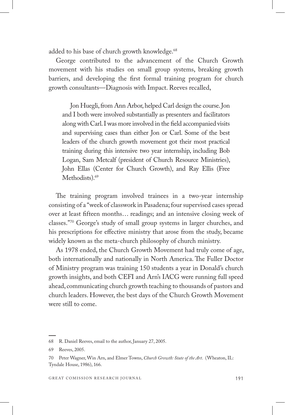added to his base of church growth knowledge.<sup>68</sup>

George contributed to the advancement of the Church Growth movement with his studies on small group systems, breaking growth barriers, and developing the first formal training program for church growth consultants—Diagnosis with Impact. Reeves recalled,

Jon Huegli, from Ann Arbor, helped Carl design the course. Jon and I both were involved substantially as presenters and facilitators along with Carl. I was more involved in the field accompanied visits and supervising cases than either Jon or Carl. Some of the best leaders of the church growth movement got their most practical training during this intensive two year internship, including Bob Logan, Sam Metcalf (president of Church Resource Ministries), John Ellas (Center for Church Growth), and Ray Ellis (Free Methodists).<sup>69</sup>

The training program involved trainees in a two-year internship consisting of a "week of classwork in Pasadena; four supervised cases spread over at least fifteen months… readings; and an intensive closing week of classes."70 George's study of small group systems in larger churches, and his prescriptions for effective ministry that arose from the study, became widely known as the meta-church philosophy of church ministry.

As 1978 ended, the Church Growth Movement had truly come of age, both internationally and nationally in North America. The Fuller Doctor of Ministry program was training 150 students a year in Donald's church growth insights, and both CEFI and Arn's IACG were running full speed ahead, communicating church growth teaching to thousands of pastors and church leaders. However, the best days of the Church Growth Movement were still to come.

<sup>68</sup> R. Daniel Reeves, email to the author, January 27, 2005.

<sup>69</sup> Reeves, 2005.

<sup>70</sup> Peter Wagner, Win Arn, and Elmer Towns, *Church Growth: State of the Art*. (Wheaton, IL: Tyndale House, 1986), 166.